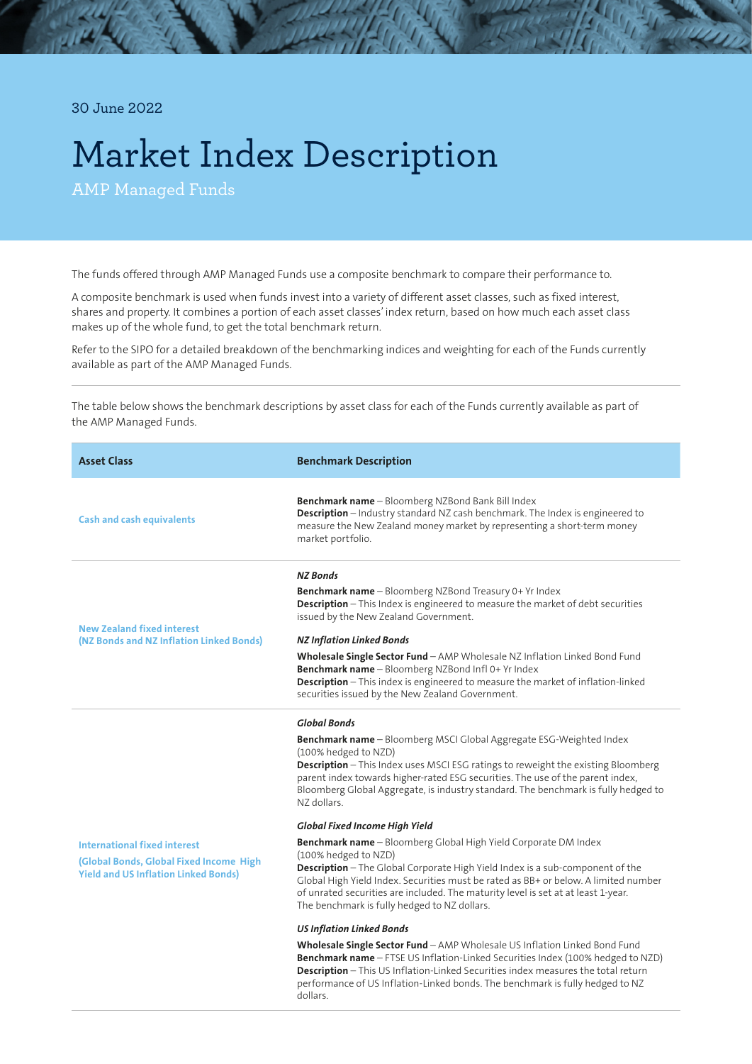30 June 2022

## Market Index Description

AMP Managed Funds

The funds offered through AMP Managed Funds use a composite benchmark to compare their performance to.

A composite benchmark is used when funds invest into a variety of different asset classes, such as fixed interest, shares and property. It combines a portion of each asset classes' index return, based on how much each asset class makes up of the whole fund, to get the total benchmark return.

Refer to the SIPO for a detailed breakdown of the benchmarking indices and weighting for each of the Funds currently available as part of the AMP Managed Funds.

The table below shows the benchmark descriptions by asset class for each of the Funds currently available as part of the AMP Managed Funds.

| <b>Asset Class</b>                                                                                                            | <b>Benchmark Description</b>                                                                                                                                                                                                                                                                                                                                                                                                                                                                                                                                                                                                                                                                                                                                                                                                                                                                                                                                                                                                                                                                                                                                                                                                    |
|-------------------------------------------------------------------------------------------------------------------------------|---------------------------------------------------------------------------------------------------------------------------------------------------------------------------------------------------------------------------------------------------------------------------------------------------------------------------------------------------------------------------------------------------------------------------------------------------------------------------------------------------------------------------------------------------------------------------------------------------------------------------------------------------------------------------------------------------------------------------------------------------------------------------------------------------------------------------------------------------------------------------------------------------------------------------------------------------------------------------------------------------------------------------------------------------------------------------------------------------------------------------------------------------------------------------------------------------------------------------------|
| <b>Cash and cash equivalents</b>                                                                                              | Benchmark name - Bloomberg NZBond Bank Bill Index<br>Description - Industry standard NZ cash benchmark. The Index is engineered to<br>measure the New Zealand money market by representing a short-term money<br>market portfolio.                                                                                                                                                                                                                                                                                                                                                                                                                                                                                                                                                                                                                                                                                                                                                                                                                                                                                                                                                                                              |
| <b>New Zealand fixed interest</b><br>(NZ Bonds and NZ Inflation Linked Bonds)                                                 | <b>NZ Bonds</b><br><b>Benchmark name</b> - Bloomberg NZBond Treasury 0+ Yr Index<br>Description - This Index is engineered to measure the market of debt securities<br>issued by the New Zealand Government.<br><b>NZ Inflation Linked Bonds</b><br><b>Wholesale Single Sector Fund</b> - AMP Wholesale NZ Inflation Linked Bond Fund<br>Benchmark name - Bloomberg NZBond Infl 0+ Yr Index<br><b>Description</b> - This index is engineered to measure the market of inflation-linked<br>securities issued by the New Zealand Government.                                                                                                                                                                                                                                                                                                                                                                                                                                                                                                                                                                                                                                                                                      |
| <b>International fixed interest</b><br>(Global Bonds, Global Fixed Income High<br><b>Yield and US Inflation Linked Bonds)</b> | <b>Global Bonds</b><br>Benchmark name - Bloomberg MSCI Global Aggregate ESG-Weighted Index<br>(100% hedged to NZD)<br>Description - This Index uses MSCI ESG ratings to reweight the existing Bloomberg<br>parent index towards higher-rated ESG securities. The use of the parent index,<br>Bloomberg Global Aggregate, is industry standard. The benchmark is fully hedged to<br>NZ dollars.<br>Global Fixed Income High Yield<br>Benchmark name - Bloomberg Global High Yield Corporate DM Index<br>(100% hedged to NZD)<br>Description - The Global Corporate High Yield Index is a sub-component of the<br>Global High Yield Index. Securities must be rated as BB+ or below. A limited number<br>of unrated securities are included. The maturity level is set at at least 1-year.<br>The benchmark is fully hedged to NZ dollars.<br><b>US Inflation Linked Bonds</b><br>Wholesale Single Sector Fund - AMP Wholesale US Inflation Linked Bond Fund<br>Benchmark name - FTSE US Inflation-Linked Securities Index (100% hedged to NZD)<br>Description - This US Inflation-Linked Securities index measures the total return<br>performance of US Inflation-Linked bonds. The benchmark is fully hedged to NZ<br>dollars. |